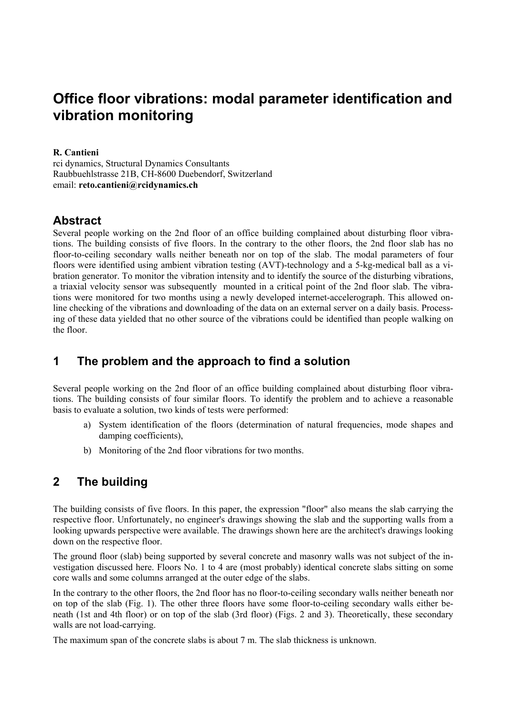# **Office floor vibrations: modal parameter identification and vibration monitoring**

#### **R. Cantieni**

rci dynamics, Structural Dynamics Consultants Raubbuehlstrasse 21B, CH-8600 Duebendorf, Switzerland email: **[reto.cantieni@rcidynamics.ch](mailto:maarten.demunck@mech.kuleuven.ac.be)**

# **Abstract**

Several people working on the 2nd floor of an office building complained about disturbing floor vibrations. The building consists of five floors. In the contrary to the other floors, the 2nd floor slab has no floor-to-ceiling secondary walls neither beneath nor on top of the slab. The modal parameters of four floors were identified using ambient vibration testing (AVT)-technology and a 5-kg-medical ball as a vibration generator. To monitor the vibration intensity and to identify the source of the disturbing vibrations, a triaxial velocity sensor was subsequently mounted in a critical point of the 2nd floor slab. The vibrations were monitored for two months using a newly developed internet-accelerograph. This allowed online checking of the vibrations and downloading of the data on an external server on a daily basis. Processing of these data yielded that no other source of the vibrations could be identified than people walking on the floor.

# **1 The problem and the approach to find a solution**

Several people working on the 2nd floor of an office building complained about disturbing floor vibrations. The building consists of four similar floors. To identify the problem and to achieve a reasonable basis to evaluate a solution, two kinds of tests were performed:

- a) System identification of the floors (determination of natural frequencies, mode shapes and damping coefficients),
- b) Monitoring of the 2nd floor vibrations for two months.

# **2 The building**

The building consists of five floors. In this paper, the expression "floor" also means the slab carrying the respective floor. Unfortunately, no engineer's drawings showing the slab and the supporting walls from a looking upwards perspective were available. The drawings shown here are the architect's drawings looking down on the respective floor.

The ground floor (slab) being supported by several concrete and masonry walls was not subject of the investigation discussed here. Floors No. 1 to 4 are (most probably) identical concrete slabs sitting on some core walls and some columns arranged at the outer edge of the slabs.

In the contrary to the other floors, the 2nd floor has no floor-to-ceiling secondary walls neither beneath nor on top of the slab (Fig. 1). The other three floors have some floor-to-ceiling secondary walls either beneath (1st and 4th floor) or on top of the slab (3rd floor) (Figs. 2 and 3). Theoretically, these secondary walls are not load-carrying.

The maximum span of the concrete slabs is about 7 m. The slab thickness is unknown.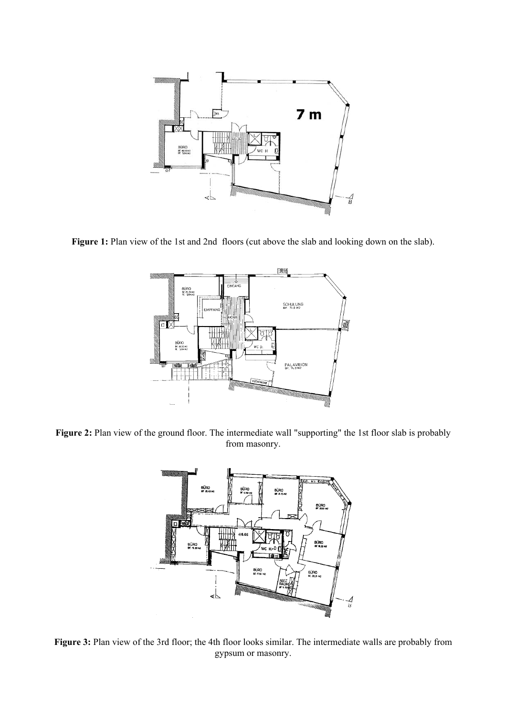

Figure 1: Plan view of the 1st and 2nd floors (cut above the slab and looking down on the slab).



Figure 2: Plan view of the ground floor. The intermediate wall "supporting" the 1st floor slab is probably from masonry.



**Figure 3:** Plan view of the 3rd floor; the 4th floor looks similar. The intermediate walls are probably from gypsum or masonry.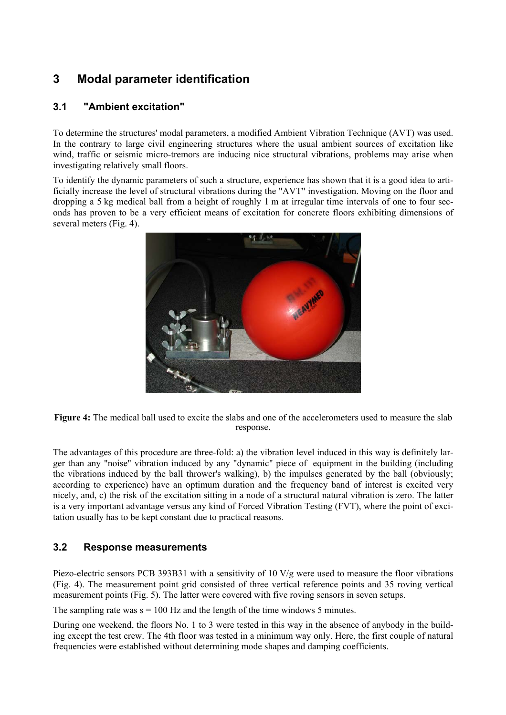# **3 Modal parameter identification**

### **3.1 "Ambient excitation"**

To determine the structures' modal parameters, a modified Ambient Vibration Technique (AVT) was used. In the contrary to large civil engineering structures where the usual ambient sources of excitation like wind, traffic or seismic micro-tremors are inducing nice structural vibrations, problems may arise when investigating relatively small floors.

To identify the dynamic parameters of such a structure, experience has shown that it is a good idea to artificially increase the level of structural vibrations during the "AVT" investigation. Moving on the floor and dropping a 5 kg medical ball from a height of roughly 1 m at irregular time intervals of one to four seconds has proven to be a very efficient means of excitation for concrete floors exhibiting dimensions of several meters (Fig. 4).



**Figure 4:** The medical ball used to excite the slabs and one of the accelerometers used to measure the slab response.

The advantages of this procedure are three-fold: a) the vibration level induced in this way is definitely larger than any "noise" vibration induced by any "dynamic" piece of equipment in the building (including the vibrations induced by the ball thrower's walking), b) the impulses generated by the ball (obviously; according to experience) have an optimum duration and the frequency band of interest is excited very nicely, and, c) the risk of the excitation sitting in a node of a structural natural vibration is zero. The latter is a very important advantage versus any kind of Forced Vibration Testing (FVT), where the point of excitation usually has to be kept constant due to practical reasons.

### **3.2 Response measurements**

Piezo-electric sensors PCB 393B31 with a sensitivity of 10 V/g were used to measure the floor vibrations (Fig. 4). The measurement point grid consisted of three vertical reference points and 35 roving vertical measurement points (Fig. 5). The latter were covered with five roving sensors in seven setups.

The sampling rate was  $s = 100$  Hz and the length of the time windows 5 minutes.

During one weekend, the floors No. 1 to 3 were tested in this way in the absence of anybody in the building except the test crew. The 4th floor was tested in a minimum way only. Here, the first couple of natural frequencies were established without determining mode shapes and damping coefficients.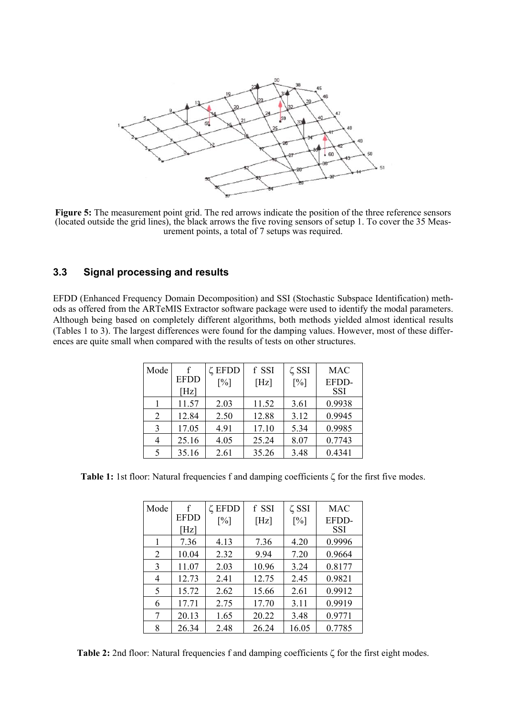

**Figure 5:** The measurement point grid. The red arrows indicate the position of the three reference sensors (located outside the grid lines), the black arrows the five roving sensors of setup 1. To cover the 35 Measurement points, a total of 7 setups was required.

#### **3.3 Signal processing and results**

EFDD (Enhanced Frequency Domain Decomposition) and SSI (Stochastic Subspace Identification) methods as offered from the ARTeMIS Extractor software package were used to identify the modal parameters. Although being based on completely different algorithms, both methods yielded almost identical results (Tables 1 to 3). The largest differences were found for the damping values. However, most of these differences are quite small when compared with the results of tests on other structures.

| Mode | <b>EFDD</b><br>[Hz] | ζ EFDD<br>[%] | f SSI<br>[Hz] | $\zeta$ SSI<br>$\lceil\% \rceil$ | <b>MAC</b><br>EFDD-<br>SSI |
|------|---------------------|---------------|---------------|----------------------------------|----------------------------|
|      | 11.57               | 2.03          | 11.52         | 3.61                             | 0.9938                     |
| 2    | 12.84               | 2.50          | 12.88         | 3.12                             | 0.9945                     |
| 3    | 17.05               | 4.91          | 17.10         | 5.34                             | 0.9985                     |
| 4    | 25.16               | 4.05          | 25.24         | 8.07                             | 0.7743                     |
| 5    | 35.16               | 2.61          | 35.26         | 3.48                             | 0.4341                     |

**Table 1:** 1st floor: Natural frequencies f and damping coefficients ζ for the first five modes.

| Mode | f           | ζ EFDD | f SSI | $\zeta$ SSI | <b>MAC</b> |
|------|-------------|--------|-------|-------------|------------|
|      | <b>EFDD</b> | [%]    | [Hz]  | [%]         | EFDD-      |
|      | [Hz]        |        |       |             | SSI        |
|      | 7.36        | 4.13   | 7.36  | 4.20        | 0.9996     |
| 2    | 10.04       | 2.32   | 9.94  | 7.20        | 0.9664     |
| 3    | 11.07       | 2.03   | 10.96 | 3.24        | 0.8177     |
| 4    | 12.73       | 2.41   | 12.75 | 2.45        | 0.9821     |
| 5    | 15.72       | 2.62   | 15.66 | 2.61        | 0.9912     |
| 6    | 17.71       | 2.75   | 17.70 | 3.11        | 0.9919     |
| 7    | 20.13       | 1.65   | 20.22 | 3.48        | 0.9771     |
| 8    | 26.34       | 2.48   | 26.24 | 16.05       | 0.7785     |

**Table 2:** 2nd floor: Natural frequencies f and damping coefficients ζ for the first eight modes.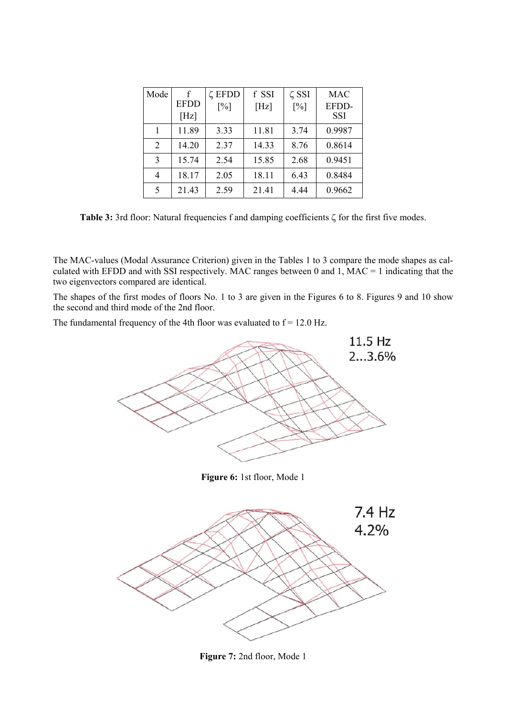| Mode           | f<br><b>EFDD</b><br>[Hz] | ζ EFDD<br>$\lceil\% \rceil$ | f SSI<br>[Hz] | $\zeta$ SSI<br>[%] | <b>MAC</b><br>EFDD-<br>SSI |
|----------------|--------------------------|-----------------------------|---------------|--------------------|----------------------------|
|                | 11.89                    | 3.33                        | 11.81         | 3.74               | 0.9987                     |
| $\overline{2}$ | 14.20                    | 2.37                        | 14.33         | 8.76               | 0.8614                     |
| 3              | 15.74                    | 2.54                        | 15.85         | 2.68               | 0.9451                     |
| 4              | 18.17                    | 2.05                        | 18.11         | 6.43               | 0.8484                     |
| 5              | 21.43                    | 2.59                        | 21.41         | 4.44               | 0.9662                     |

**Table 3:** 3rd floor: Natural frequencies f and damping coefficients ζ for the first five modes.

The MAC-values (Modal Assurance Criterion) given in the Tables 1 to 3 compare the mode shapes as calculated with EFDD and with SSI respectively. MAC ranges between 0 and 1, MAC = 1 indicating that the two eigenvectors compared are identical.

The shapes of the first modes of floors No. 1 to 3 are given in the Figures 6 to 8. Figures 9 and 10 show the second and third mode of the 2nd floor.

The fundamental frequency of the 4th floor was evaluated to  $f = 12.0$  Hz.



**Figure 7:** 2nd floor, Mode 1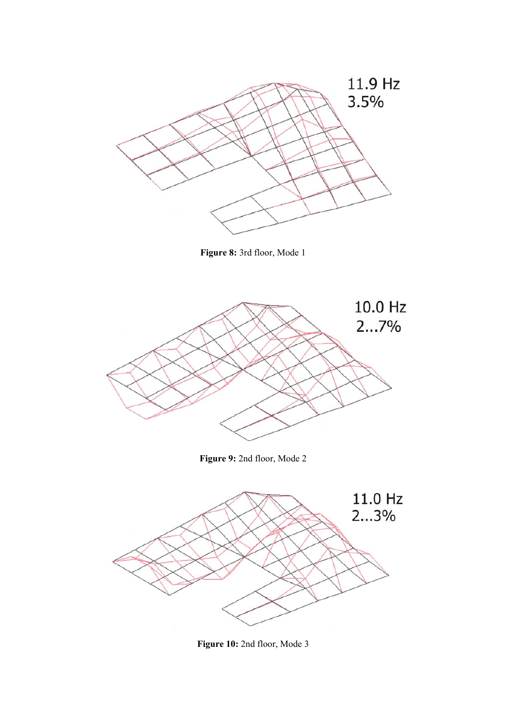

**Figure 8:** 3rd floor, Mode 1



**Figure 10:** 2nd floor, Mode 3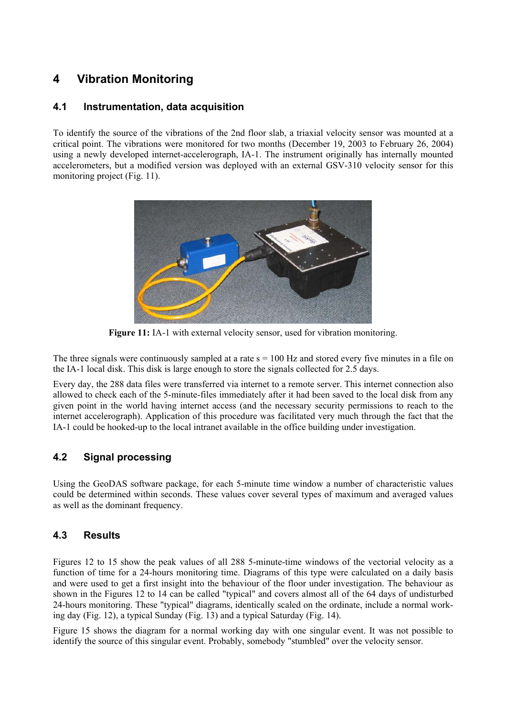# **4 Vibration Monitoring**

#### **4.1 Instrumentation, data acquisition**

To identify the source of the vibrations of the 2nd floor slab, a triaxial velocity sensor was mounted at a critical point. The vibrations were monitored for two months (December 19, 2003 to February 26, 2004) using a newly developed internet-accelerograph, IA-1. The instrument originally has internally mounted accelerometers, but a modified version was deployed with an external GSV-310 velocity sensor for this monitoring project (Fig. 11).



**Figure 11:** IA-1 with external velocity sensor, used for vibration monitoring.

The three signals were continuously sampled at a rate  $s = 100$  Hz and stored every five minutes in a file on the IA-1 local disk. This disk is large enough to store the signals collected for 2.5 days.

Every day, the 288 data files were transferred via internet to a remote server. This internet connection also allowed to check each of the 5-minute-files immediately after it had been saved to the local disk from any given point in the world having internet access (and the necessary security permissions to reach to the internet accelerograph). Application of this procedure was facilitated very much through the fact that the IA-1 could be hooked-up to the local intranet available in the office building under investigation.

### **4.2 Signal processing**

Using the GeoDAS software package, for each 5-minute time window a number of characteristic values could be determined within seconds. These values cover several types of maximum and averaged values as well as the dominant frequency.

### **4.3 Results**

Figures 12 to 15 show the peak values of all 288 5-minute-time windows of the vectorial velocity as a function of time for a 24-hours monitoring time. Diagrams of this type were calculated on a daily basis and were used to get a first insight into the behaviour of the floor under investigation. The behaviour as shown in the Figures 12 to 14 can be called "typical" and covers almost all of the 64 days of undisturbed 24-hours monitoring. These "typical" diagrams, identically scaled on the ordinate, include a normal working day (Fig. 12), a typical Sunday (Fig. 13) and a typical Saturday (Fig. 14).

Figure 15 shows the diagram for a normal working day with one singular event. It was not possible to identify the source of this singular event. Probably, somebody "stumbled" over the velocity sensor.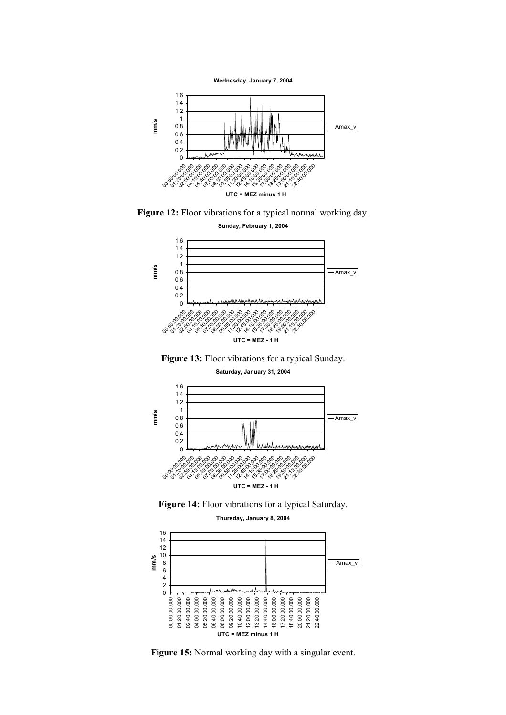**Wednesday, January 7, 2004**



**Figure 12:** Floor vibrations for a typical normal working day.











**Figure 15:** Normal working day with a singular event.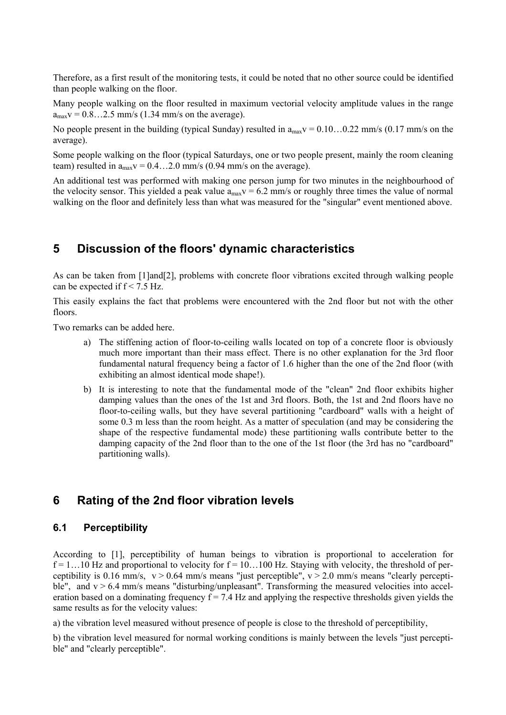Therefore, as a first result of the monitoring tests, it could be noted that no other source could be identified than people walking on the floor.

Many people walking on the floor resulted in maximum vectorial velocity amplitude values in the range  $a<sub>max</sub>v = 0.8...2.5$  mm/s (1.34 mm/s on the average).

No people present in the building (typical Sunday) resulted in  $a_{max}v = 0.10...0.22$  mm/s (0.17 mm/s on the average).

Some people walking on the floor (typical Saturdays, one or two people present, mainly the room cleaning team) resulted in  $a_{max}v = 0.4...2.0$  mm/s (0.94 mm/s on the average).

An additional test was performed with making one person jump for two minutes in the neighbourhood of the velocity sensor. This yielded a peak value  $a_{\text{max}}v = 6.2$  mm/s or roughly three times the value of normal walking on the floor and definitely less than what was measured for the "singular" event mentioned above.

### **5 Discussion of the floors' dynamic characteristics**

As can be taken from [1]and[2], problems with concrete floor vibrations excited through walking people can be expected if  $f < 7.5$  Hz.

This easily explains the fact that problems were encountered with the 2nd floor but not with the other floors.

Two remarks can be added here.

- a) The stiffening action of floor-to-ceiling walls located on top of a concrete floor is obviously much more important than their mass effect. There is no other explanation for the 3rd floor fundamental natural frequency being a factor of 1.6 higher than the one of the 2nd floor (with exhibiting an almost identical mode shape!).
- b) It is interesting to note that the fundamental mode of the "clean" 2nd floor exhibits higher damping values than the ones of the 1st and 3rd floors. Both, the 1st and 2nd floors have no floor-to-ceiling walls, but they have several partitioning "cardboard" walls with a height of some 0.3 m less than the room height. As a matter of speculation (and may be considering the shape of the respective fundamental mode) these partitioning walls contribute better to the damping capacity of the 2nd floor than to the one of the 1st floor (the 3rd has no "cardboard" partitioning walls).

### **6 Rating of the 2nd floor vibration levels**

#### **6.1 Perceptibility**

According to [1], perceptibility of human beings to vibration is proportional to acceleration for  $f = 1...10$  Hz and proportional to velocity for  $f = 10...100$  Hz. Staying with velocity, the threshold of perceptibility is 0.16 mm/s,  $v > 0.64$  mm/s means "just perceptible",  $v > 2.0$  mm/s means "clearly perceptible", and  $v > 6.4$  mm/s means "disturbing/unpleasant". Transforming the measured velocities into acceleration based on a dominating frequency  $f = 7.4$  Hz and applying the respective thresholds given yields the same results as for the velocity values:

a) the vibration level measured without presence of people is close to the threshold of perceptibility,

b) the vibration level measured for normal working conditions is mainly between the levels "just perceptible" and "clearly perceptible".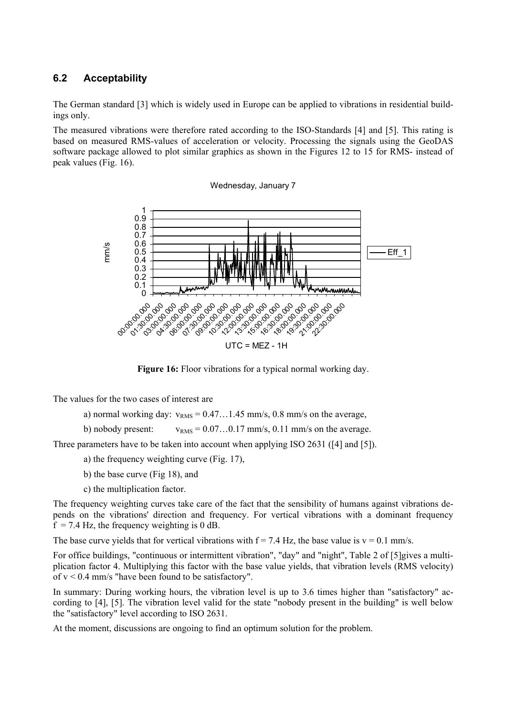### **6.2 Acceptability**

The German standard [3] which is widely used in Europe can be applied to vibrations in residential buildings only.

The measured vibrations were therefore rated according to the ISO-Standards [4] and [5]. This rating is based on measured RMS-values of acceleration or velocity. Processing the signals using the GeoDAS software package allowed to plot similar graphics as shown in the Figures 12 to 15 for RMS- instead of peak values (Fig. 16).





**Figure 16:** Floor vibrations for a typical normal working day.

The values for the two cases of interest are

a) normal working day:  $v_{RMS} = 0.47...1.45$  mm/s, 0.8 mm/s on the average,

b) nobody present:  $v_{RMS} = 0.07...0.17$  mm/s, 0.11 mm/s on the average.

Three parameters have to be taken into account when applying ISO 2631 ([4] and [5]).

- a) the frequency weighting curve (Fig. 17),
- b) the base curve (Fig 18), and
- c) the multiplication factor.

The frequency weighting curves take care of the fact that the sensibility of humans against vibrations depends on the vibrations' direction and frequency. For vertical vibrations with a dominant frequency  $f = 7.4$  Hz, the frequency weighting is 0 dB.

The base curve yields that for vertical vibrations with  $f = 7.4$  Hz, the base value is  $v = 0.1$  mm/s.

For office buildings, "continuous or intermittent vibration", "day" and "night", Table 2 of [5]gives a multiplication factor 4. Multiplying this factor with the base value yields, that vibration levels (RMS velocity) of  $v < 0.4$  mm/s "have been found to be satisfactory".

In summary: During working hours, the vibration level is up to 3.6 times higher than "satisfactory" according to [4], [5]. The vibration level valid for the state "nobody present in the building" is well below the "satisfactory" level according to ISO 2631.

At the moment, discussions are ongoing to find an optimum solution for the problem.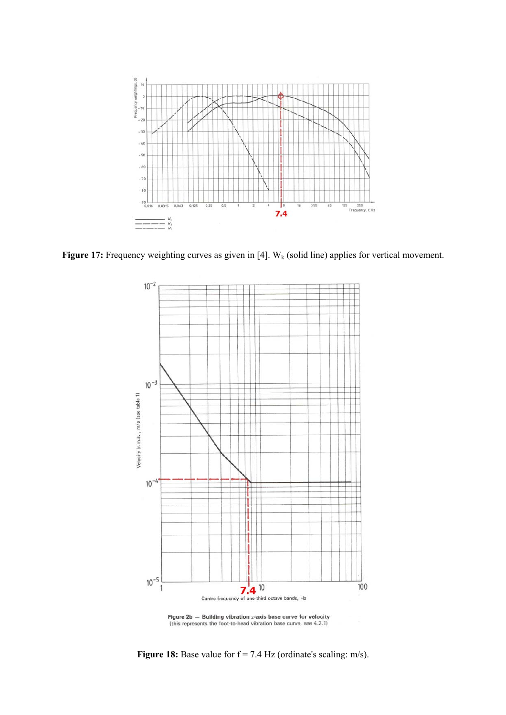

**Figure 17:** Frequency weighting curves as given in [4]. W<sub>k</sub> (solid line) applies for vertical movement.



Figure  $2b$  - Building vibration *z*-axis base curve for velocity (this represents the foot-to-head vibration base curve, see 4.2.1)

**Figure 18:** Base value for  $f = 7.4$  Hz (ordinate's scaling: m/s).